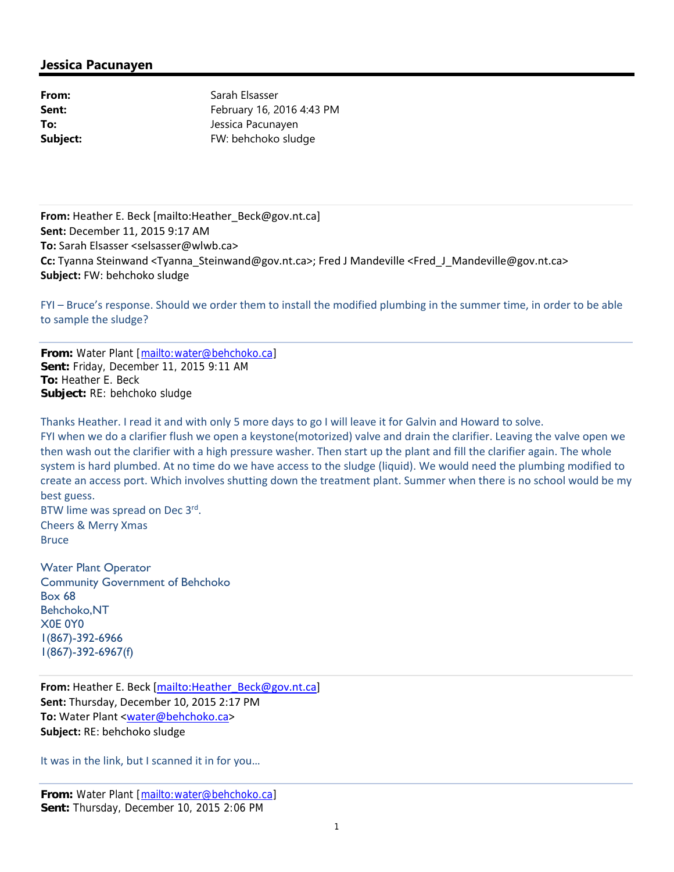# **Jessica Pacunayen**

| From:    |
|----------|
| Sent:    |
| To:      |
| Subject: |

**From:** Sarah Elsasser **Sent:** February 16, 2016 4:43 PM **To:** Jessica Pacunayen **Subject:** FW: behchoko sludge

**From:** Heather E. Beck [mailto:Heather\_Beck@gov.nt.ca] **Sent:** December 11, 2015 9:17 AM **To:** Sarah Elsasser <selsasser@wlwb.ca> **Cc:** Tyanna Steinwand <Tyanna\_Steinwand@gov.nt.ca>; Fred J Mandeville <Fred\_J\_Mandeville@gov.nt.ca> **Subject:** FW: behchoko sludge

FYI – Bruce's response. Should we order them to install the modified plumbing in the summer time, in order to be able to sample the sludge?

**From:** Water Plant [mailto:water@behchoko.ca] **Sent:** Friday, December 11, 2015 9:11 AM **To:** Heather E. Beck **Subject:** RE: behchoko sludge

Thanks Heather. I read it and with only 5 more days to go I will leave it for Galvin and Howard to solve. FYI when we do a clarifier flush we open a keystone(motorized) valve and drain the clarifier. Leaving the valve open we then wash out the clarifier with a high pressure washer. Then start up the plant and fill the clarifier again. The whole system is hard plumbed. At no time do we have access to the sludge (liquid). We would need the plumbing modified to create an access port. Which involves shutting down the treatment plant. Summer when there is no school would be my best guess.

BTW lime was spread on Dec 3<sup>rd</sup>. Cheers & Merry Xmas **Bruce** 

Water Plant Operator Community Government of Behchoko Box 68 Behchoko,NT X0E 0Y0 1(867)-392-6966 1(867)-392-6967(f)

**From:** Heather E. Beck [mailto:Heather\_Beck@gov.nt.ca] **Sent:** Thursday, December 10, 2015 2:17 PM **To:** Water Plant <water@behchoko.ca> **Subject:** RE: behchoko sludge

It was in the link, but I scanned it in for you…

**From:** Water Plant [mailto:water@behchoko.ca] **Sent:** Thursday, December 10, 2015 2:06 PM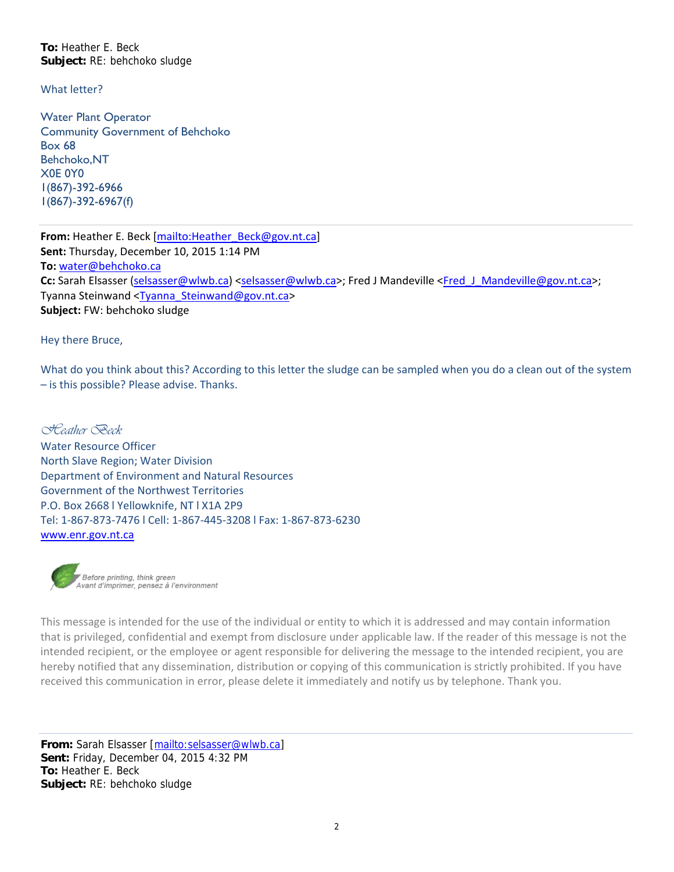**To:** Heather E. Beck **Subject:** RE: behchoko sludge

What letter?

Water Plant Operator Community Government of Behchoko Box 68 Behchoko,NT X0E 0Y0 1(867)-392-6966 1(867)-392-6967(f)

**From:** Heather E. Beck [mailto:Heather\_Beck@gov.nt.ca] **Sent:** Thursday, December 10, 2015 1:14 PM **To:** water@behchoko.ca **Cc:** Sarah Elsasser (selsasser@wlwb.ca) <selsasser@wlwb.ca>; Fred J Mandeville <Fred\_J\_Mandeville@gov.nt.ca>; Tyanna Steinwand <Tyanna\_Steinwand@gov.nt.ca> **Subject:** FW: behchoko sludge

Hey there Bruce,

What do you think about this? According to this letter the sludge can be sampled when you do a clean out of the system – is this possible? Please advise. Thanks.

*Heather Beck*  Water Resource Officer North Slave Region; Water Division Department of Environment and Natural Resources Government of the Northwest Territories P.O. Box 2668 l Yellowknife, NT l X1A 2P9 Tel: 1‐867‐873‐7476 l Cell: 1‐867‐445‐3208 l Fax: 1‐867‐873‐6230 www.enr.gov.nt.ca



This message is intended for the use of the individual or entity to which it is addressed and may contain information that is privileged, confidential and exempt from disclosure under applicable law. If the reader of this message is not the intended recipient, or the employee or agent responsible for delivering the message to the intended recipient, you are hereby notified that any dissemination, distribution or copying of this communication is strictly prohibited. If you have received this communication in error, please delete it immediately and notify us by telephone. Thank you.

**From:** Sarah Elsasser [mailto:selsasser@wlwb.ca] **Sent:** Friday, December 04, 2015 4:32 PM **To:** Heather E. Beck **Subject:** RE: behchoko sludge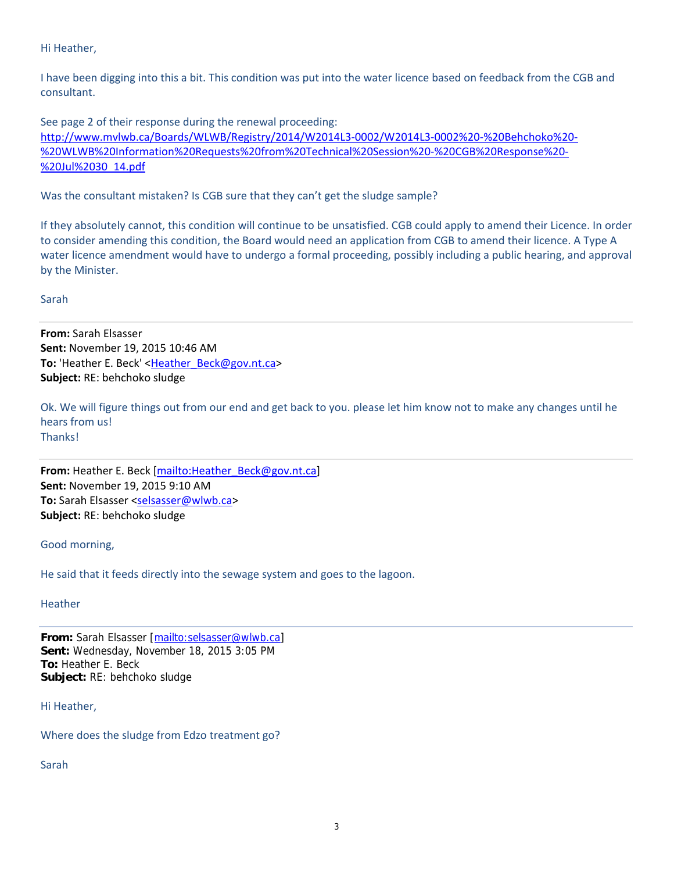## Hi Heather,

I have been digging into this a bit. This condition was put into the water licence based on feedback from the CGB and consultant.

See page 2 of their response during the renewal proceeding: http://www.mvlwb.ca/Boards/WLWB/Registry/2014/W2014L3‐0002/W2014L3‐0002%20‐%20Behchoko%20‐ %20WLWB%20Information%20Requests%20from%20Technical%20Session%20-%20CGB%20Response%20-%20Jul%2030\_14.pdf

Was the consultant mistaken? Is CGB sure that they can't get the sludge sample?

If they absolutely cannot, this condition will continue to be unsatisfied. CGB could apply to amend their Licence. In order to consider amending this condition, the Board would need an application from CGB to amend their licence. A Type A water licence amendment would have to undergo a formal proceeding, possibly including a public hearing, and approval by the Minister.

### Sarah

**From:** Sarah Elsasser **Sent:** November 19, 2015 10:46 AM **To:** 'Heather E. Beck' <Heather\_Beck@gov.nt.ca> **Subject:** RE: behchoko sludge

Ok. We will figure things out from our end and get back to you. please let him know not to make any changes until he hears from us! Thanks!

**From:** Heather E. Beck [mailto:Heather\_Beck@gov.nt.ca] **Sent:** November 19, 2015 9:10 AM **To:** Sarah Elsasser <selsasser@wlwb.ca> **Subject:** RE: behchoko sludge

### Good morning,

He said that it feeds directly into the sewage system and goes to the lagoon.

#### **Heather**

**From:** Sarah Elsasser [mailto:selsasser@wlwb.ca] **Sent:** Wednesday, November 18, 2015 3:05 PM **To:** Heather E. Beck **Subject:** RE: behchoko sludge

### Hi Heather,

Where does the sludge from Edzo treatment go?

Sarah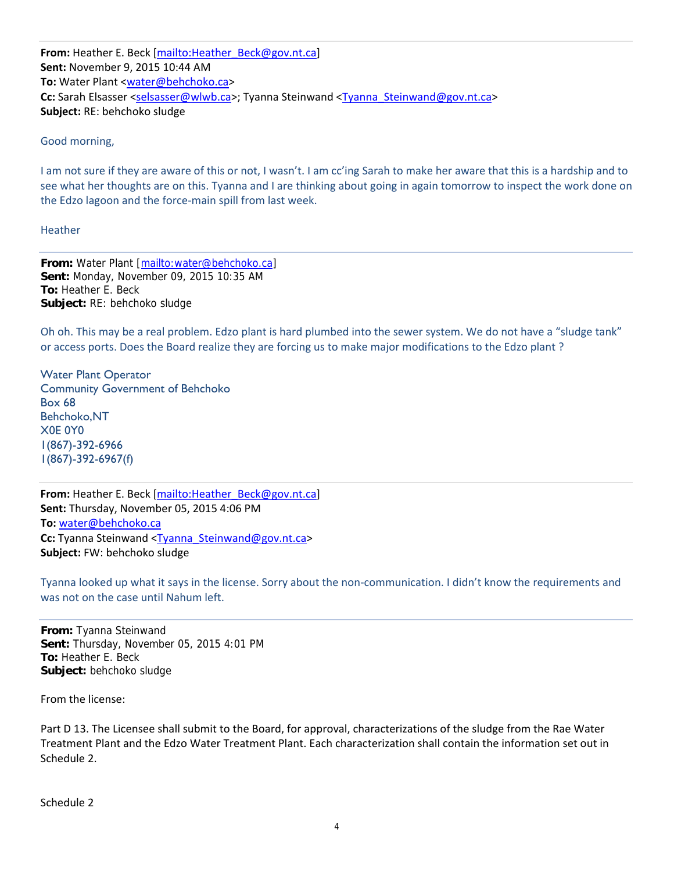**From:** Heather E. Beck [mailto:Heather\_Beck@gov.nt.ca] **Sent:** November 9, 2015 10:44 AM **To:** Water Plant <water@behchoko.ca> Cc: Sarah Elsasser <selsasser@wlwb.ca>; Tyanna Steinwand <Tyanna\_Steinwand@gov.nt.ca> **Subject:** RE: behchoko sludge

## Good morning,

I am not sure if they are aware of this or not, I wasn't. I am cc'ing Sarah to make her aware that this is a hardship and to see what her thoughts are on this. Tyanna and I are thinking about going in again tomorrow to inspect the work done on the Edzo lagoon and the force‐main spill from last week.

Heather

**From:** Water Plant [mailto:water@behchoko.ca] **Sent:** Monday, November 09, 2015 10:35 AM **To:** Heather E. Beck **Subject:** RE: behchoko sludge

Oh oh. This may be a real problem. Edzo plant is hard plumbed into the sewer system. We do not have a "sludge tank" or access ports. Does the Board realize they are forcing us to make major modifications to the Edzo plant ?

Water Plant Operator Community Government of Behchoko Box 68 Behchoko,NT X0E 0Y0 1(867)-392-6966 1(867)-392-6967(f)

**From:** Heather E. Beck [mailto:Heather\_Beck@gov.nt.ca] **Sent:** Thursday, November 05, 2015 4:06 PM **To:** water@behchoko.ca **Cc:** Tyanna Steinwand <Tyanna\_Steinwand@gov.nt.ca> **Subject:** FW: behchoko sludge

Tyanna looked up what it says in the license. Sorry about the non‐communication. I didn't know the requirements and was not on the case until Nahum left.

**From:** Tyanna Steinwand **Sent:** Thursday, November 05, 2015 4:01 PM **To:** Heather E. Beck **Subject:** behchoko sludge

From the license:

Part D 13. The Licensee shall submit to the Board, for approval, characterizations of the sludge from the Rae Water Treatment Plant and the Edzo Water Treatment Plant. Each characterization shall contain the information set out in Schedule 2.

Schedule 2